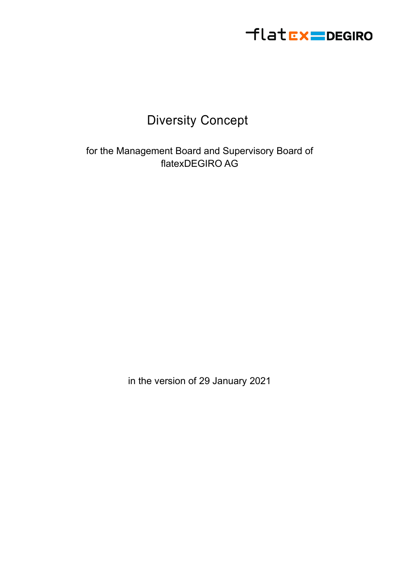

### Diversity Concept

for the Management Board and Supervisory Board of flatexDEGIRO AG

in the version of 29 January 2021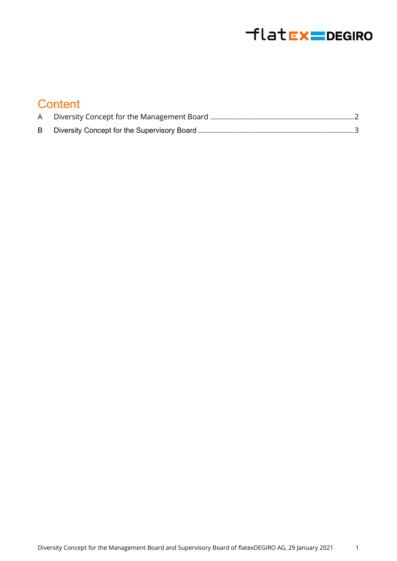# flatEx=DEGIRO

### **Content**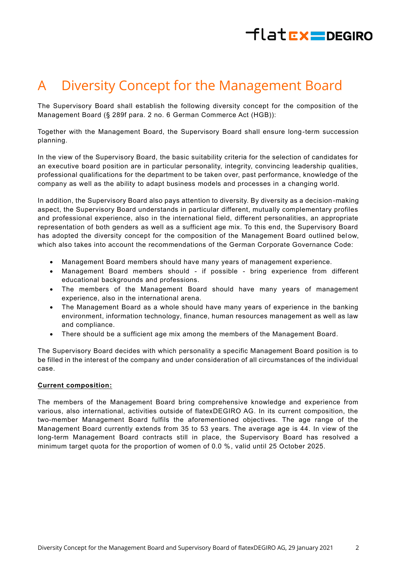# $H$ latr $x =$ DEGIRO

## <span id="page-2-0"></span>A Diversity Concept for the Management Board

The Supervisory Board shall establish the following diversity concept for the composition of the Management Board (§ 289f para. 2 no. 6 German Commerce Act (HGB)):

Together with the Management Board, the Supervisory Board shall ensure long -term succession planning.

In the view of the Supervisory Board, the basic suitability criteria for the selection of candidates for an executive board position are in particular personality, integrity, convincing leadership qualities, professional qualifications for the department to be taken over, past performance, knowledge of the company as well as the ability to adapt business models and processes in a changing world.

In addition, the Supervisory Board also pays attention to diversity. By diversity as a decision -making aspect, the Supervisory Board understands in particular different, mutually complementary profiles and professional experience, also in the international field, different personalities, an appropriate representation of both genders as well as a sufficient age mix. To this end, the Supervisory Board has adopted the diversity concept for the composition of the Management Board outlined below, which also takes into account the recommendations of the German Corporate Governance Code:

- Management Board members should have many years of management experience.
- Management Board members should if possible bring experience from different educational backgrounds and professions.
- The members of the Management Board should have many years of management experience, also in the international arena.
- The Management Board as a whole should have many years of experience in the banking environment, information technology, finance, human resources management as well as law and compliance.
- There should be a sufficient age mix among the members of the Management Board.

The Supervisory Board decides with which personality a specific Management Board position is to be filled in the interest of the company and under consideration of all circumstances of the individual case.

### **Current composition:**

The members of the Management Board bring comprehensive knowledge and experience from various, also international, activities outside of flatexDEGIRO AG. In its current composition, the two-member Management Board fulfils the aforementioned objectives. The age range of the Management Board currently extends from 35 to 53 years. The average age is 44. In view of the long-term Management Board contracts still in place, the Supervisory Board has resolved a minimum target quota for the proportion of women of 0.0 %, valid until 25 October 2025.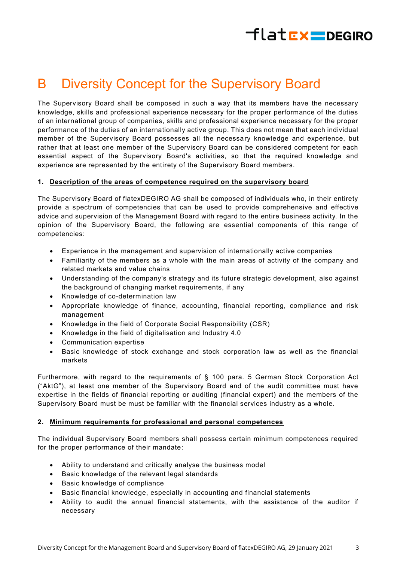# flat**EX=DEGIRO**

### <span id="page-3-0"></span>B Diversity Concept for the Supervisory Board

The Supervisory Board shall be composed in such a way that its members have the necessary knowledge, skills and professional experience necessary for the proper performance of the duties of an international group of companies, skills and professional experience necessary for the proper performance of the duties of an internationally active group. This does not mean that each individual member of the Supervisory Board possesses all the necessary knowledge and experience, but rather that at least one member of the Supervisory Board can be considered competent for each essential aspect of the Supervisory Board's activities, so that the required knowledge and experience are represented by the entirety of the Supervisory Board members.

### **1. Description of the areas of competence required on the supervisory board**

The Supervisory Board of flatexDEGIRO AG shall be composed of individuals who, in their entirety provide a spectrum of competencies that can be used to provide comprehensive and effective advice and supervision of the Management Board with regard to the entire business activity. In the opinion of the Supervisory Board, the following are essential components of this range of competencies:

- Experience in the management and supervision of internationally active companies
- Familiarity of the members as a whole with the main areas of activity of the company and related markets and value chains
- Understanding of the company's strategy and its future strategic development, also against the background of changing market requirements, if any
- Knowledge of co-determination law
- Appropriate knowledge of finance, accounting, financial reporting, compliance and risk management
- Knowledge in the field of Corporate Social Responsibility (CSR)
- Knowledge in the field of digitalisation and Industry 4.0
- Communication expertise
- Basic knowledge of stock exchange and stock corporation law as well as the financial markets

Furthermore, with regard to the requirements of § 100 para. 5 German Stock Corporation Act ("AktG"), at least one member of the Supervisory Board and of the audit committee must have expertise in the fields of financial reporting or auditing (financial expert) and the members of the Supervisory Board must be must be familiar with the financial services industry as a whole.

#### **2. Minimum requirements for professional and personal competences**

The individual Supervisory Board members shall possess certain minimum competences required for the proper performance of their mandate:

- Ability to understand and critically analyse the business model
- Basic knowledge of the relevant legal standards
- Basic knowledge of compliance
- Basic financial knowledge, especially in accounting and financial statements
- Ability to audit the annual financial statements, with the assistance of the auditor if necessary